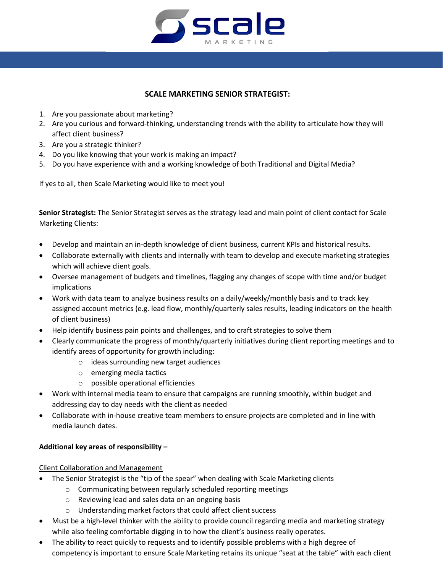

#### **SCALE MARKETING SENIOR STRATEGIST:**

- 1. Are you passionate about marketing?
- 2. Are you curious and forward-thinking, understanding trends with the ability to articulate how they will affect client business?
- 3. Are you a strategic thinker?
- 4. Do you like knowing that your work is making an impact?
- 5. Do you have experience with and a working knowledge of both Traditional and Digital Media?

If yes to all, then Scale Marketing would like to meet you!

**Senior Strategist:** The Senior Strategist serves as the strategy lead and main point of client contact for Scale Marketing Clients:

- Develop and maintain an in-depth knowledge of client business, current KPIs and historical results.
- Collaborate externally with clients and internally with team to develop and execute marketing strategies which will achieve client goals.
- Oversee management of budgets and timelines, flagging any changes of scope with time and/or budget implications
- Work with data team to analyze business results on a daily/weekly/monthly basis and to track key assigned account metrics (e.g. lead flow, monthly/quarterly sales results, leading indicators on the health of client business)
- Help identify business pain points and challenges, and to craft strategies to solve them
- Clearly communicate the progress of monthly/quarterly initiatives during client reporting meetings and to identify areas of opportunity for growth including:
	- o ideas surrounding new target audiences
	- o emerging media tactics
	- o possible operational efficiencies
- Work with internal media team to ensure that campaigns are running smoothly, within budget and addressing day to day needs with the client as needed
- Collaborate with in-house creative team members to ensure projects are completed and in line with media launch dates.

#### **Additional key areas of responsibility –**

Client Collaboration and Management

- The Senior Strategist is the "tip of the spear" when dealing with Scale Marketing clients
	- o Communicating between regularly scheduled reporting meetings
	- o Reviewing lead and sales data on an ongoing basis
	- o Understanding market factors that could affect client success
- Must be a high-level thinker with the ability to provide council regarding media and marketing strategy while also feeling comfortable digging in to how the client's business really operates.
- The ability to react quickly to requests and to identify possible problems with a high degree of competency is important to ensure Scale Marketing retains its unique "seat at the table" with each client